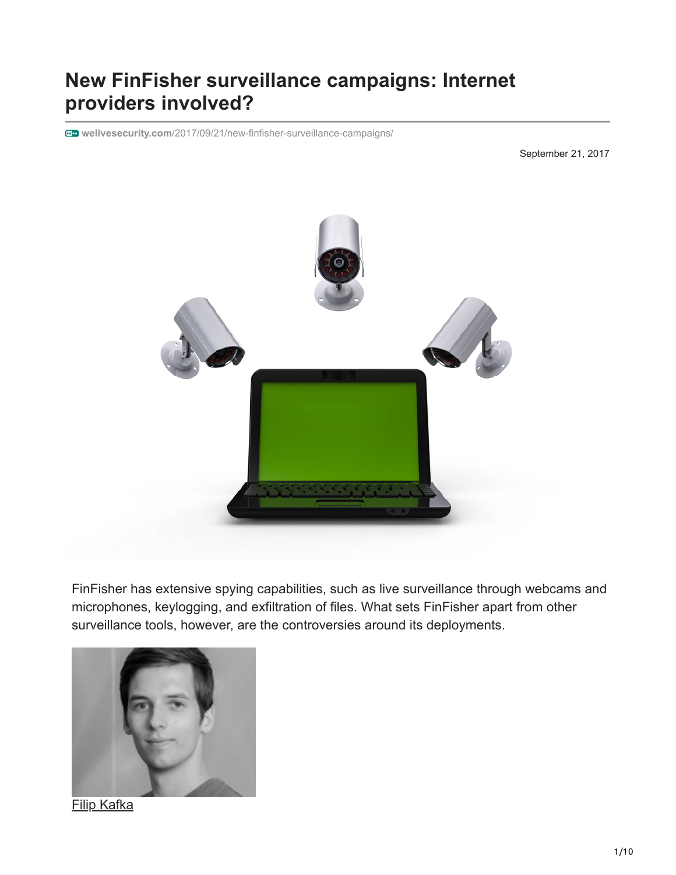# **New FinFisher surveillance campaigns: Internet providers involved?**

**welivesecurity.com**[/2017/09/21/new-finfisher-surveillance-campaigns/](https://www.welivesecurity.com/2017/09/21/new-finfisher-surveillance-campaigns/)

September 21, 2017



FinFisher has extensive spying capabilities, such as live surveillance through webcams and microphones, keylogging, and exfiltration of files. What sets FinFisher apart from other surveillance tools, however, are the controversies around its deployments.



[Filip Kafka](https://www.welivesecurity.com/author/fkafka/)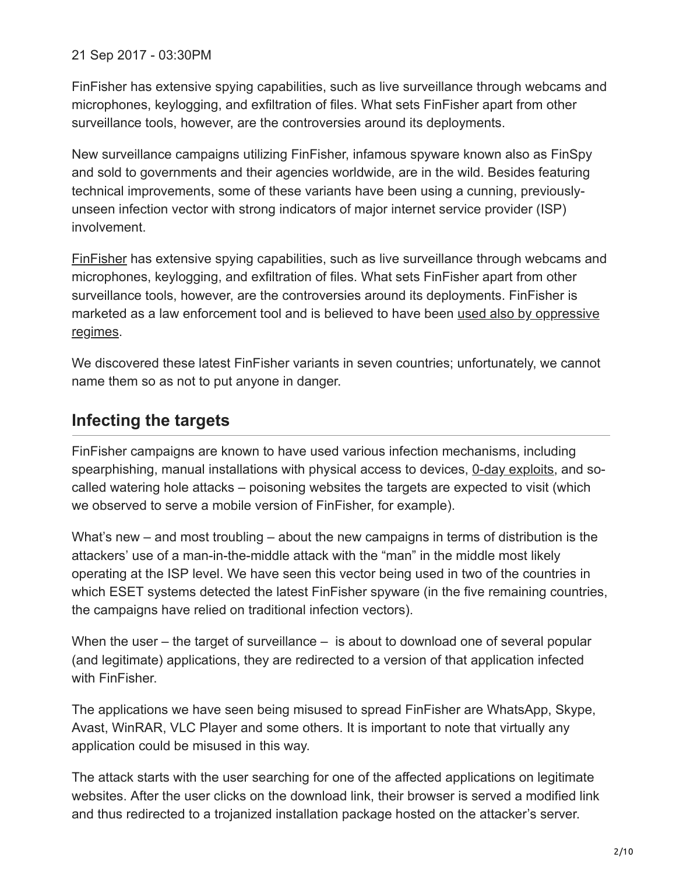21 Sep 2017 - 03:30PM

FinFisher has extensive spying capabilities, such as live surveillance through webcams and microphones, keylogging, and exfiltration of files. What sets FinFisher apart from other surveillance tools, however, are the controversies around its deployments.

New surveillance campaigns utilizing FinFisher, infamous spyware known also as FinSpy and sold to governments and their agencies worldwide, are in the wild. Besides featuring technical improvements, some of these variants have been using a cunning, previouslyunseen infection vector with strong indicators of major internet service provider (ISP) involvement.

[FinFisher](https://en.wikipedia.org/wiki/FinFisher) has extensive spying capabilities, such as live surveillance through webcams and microphones, keylogging, and exfiltration of files. What sets FinFisher apart from other surveillance tools, however, are the controversies around its deployments. FinFisher is [marketed as a law enforcement tool and is believed to have been used also by oppressive](https://citizenlab.ca/2013/03/you-only-click-twice-finfishers-global-proliferation-2/) regimes.

We discovered these latest FinFisher variants in seven countries; unfortunately, we cannot name them so as not to put anyone in danger.

### **Infecting the targets**

FinFisher campaigns are known to have used various infection mechanisms, including spearphishing, manual installations with physical access to devices, [0-day exploits,](https://www.fireeye.com/blog/threat-research/2017/09/zero-day-used-to-distribute-finspy.html) and socalled watering hole attacks – poisoning websites the targets are expected to visit (which we observed to serve a mobile version of FinFisher, for example).

What's new – and most troubling – about the new campaigns in terms of distribution is the attackers' use of a man-in-the-middle attack with the "man" in the middle most likely operating at the ISP level. We have seen this vector being used in two of the countries in which ESET systems detected the latest FinFisher spyware (in the five remaining countries, the campaigns have relied on traditional infection vectors).

When the user – the target of surveillance – is about to download one of several popular (and legitimate) applications, they are redirected to a version of that application infected with FinFisher.

The applications we have seen being misused to spread FinFisher are WhatsApp, Skype, Avast, WinRAR, VLC Player and some others. It is important to note that virtually any application could be misused in this way.

The attack starts with the user searching for one of the affected applications on legitimate websites. After the user clicks on the download link, their browser is served a modified link and thus redirected to a trojanized installation package hosted on the attacker's server.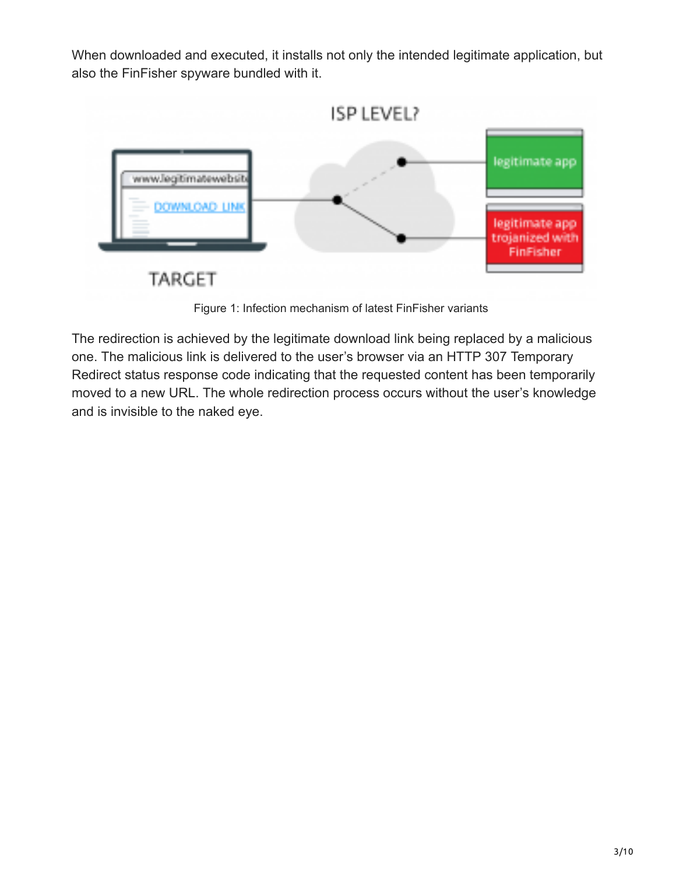When downloaded and executed, it installs not only the intended legitimate application, but also the FinFisher spyware bundled with it.



Figure 1: Infection mechanism of latest FinFisher variants

The redirection is achieved by the legitimate download link being replaced by a malicious one. The malicious link is delivered to the user's browser via an HTTP 307 Temporary Redirect status response code indicating that the requested content has been temporarily moved to a new URL. The whole redirection process occurs without the user's knowledge and is invisible to the naked eye.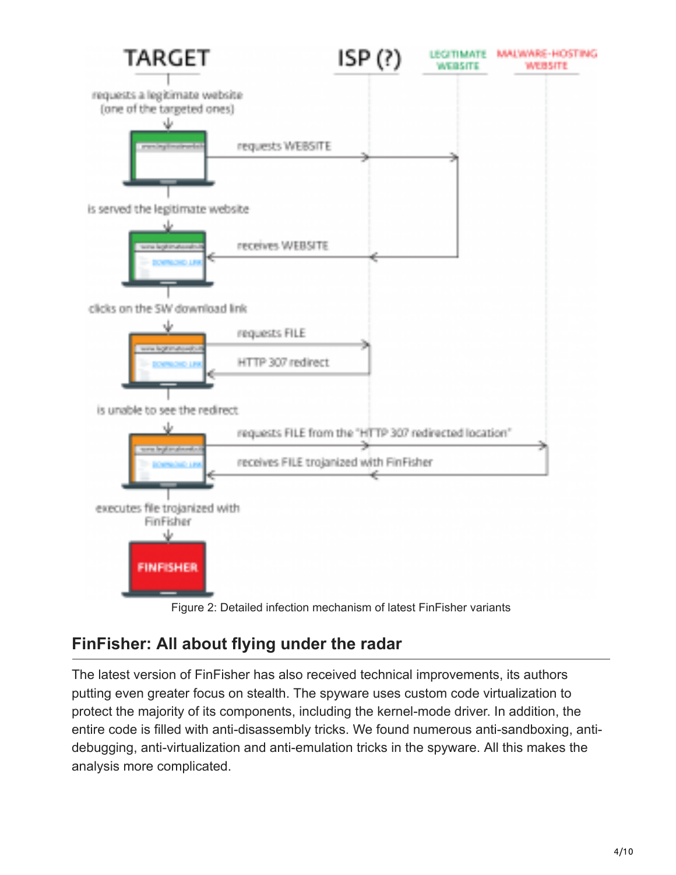

## **FinFisher: All about flying under the radar**

The latest version of FinFisher has also received technical improvements, its authors putting even greater focus on stealth. The spyware uses custom code virtualization to protect the majority of its components, including the kernel-mode driver. In addition, the entire code is filled with anti-disassembly tricks. We found numerous anti-sandboxing, antidebugging, anti-virtualization and anti-emulation tricks in the spyware. All this makes the analysis more complicated.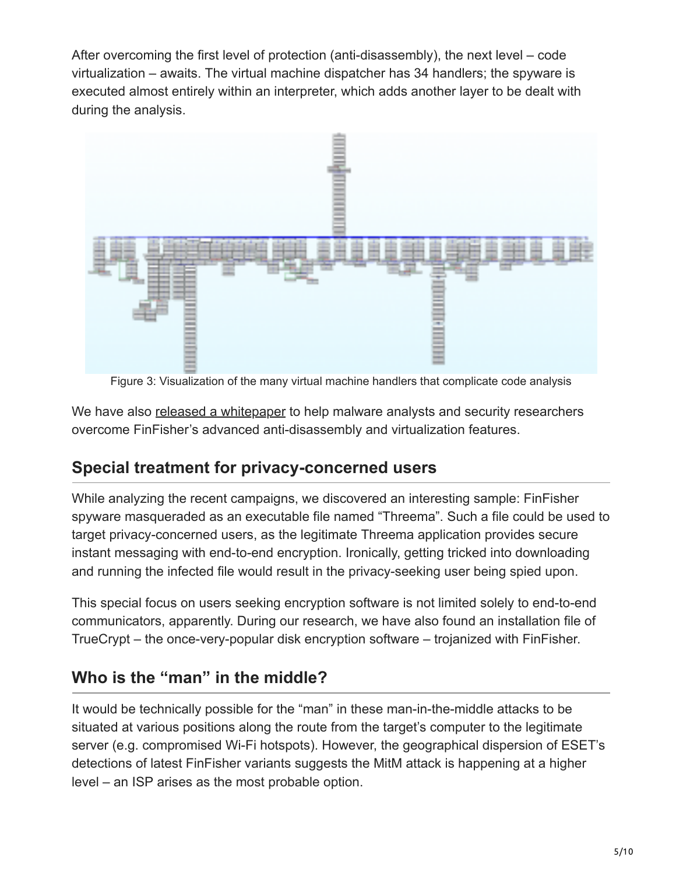After overcoming the first level of protection (anti-disassembly), the next level – code virtualization – awaits. The virtual machine dispatcher has 34 handlers; the spyware is executed almost entirely within an interpreter, which adds another layer to be dealt with during the analysis.



Figure 3: Visualization of the many virtual machine handlers that complicate code analysis

We have also [released a whitepaper](https://www.welivesecurity.com/wp-content/uploads/2018/01/WP-FinFisher.pdf) to help malware analysts and security researchers overcome FinFisher's advanced anti-disassembly and virtualization features.

## **Special treatment for privacy-concerned users**

While analyzing the recent campaigns, we discovered an interesting sample: FinFisher spyware masqueraded as an executable file named "Threema". Such a file could be used to target privacy-concerned users, as the legitimate Threema application provides secure instant messaging with end-to-end encryption. Ironically, getting tricked into downloading and running the infected file would result in the privacy-seeking user being spied upon.

This special focus on users seeking encryption software is not limited solely to end-to-end communicators, apparently. During our research, we have also found an installation file of TrueCrypt – the once-very-popular disk encryption software – trojanized with FinFisher.

## **Who is the "man" in the middle?**

It would be technically possible for the "man" in these man-in-the-middle attacks to be situated at various positions along the route from the target's computer to the legitimate server (e.g. compromised Wi-Fi hotspots). However, the geographical dispersion of ESET's detections of latest FinFisher variants suggests the MitM attack is happening at a higher level – an ISP arises as the most probable option.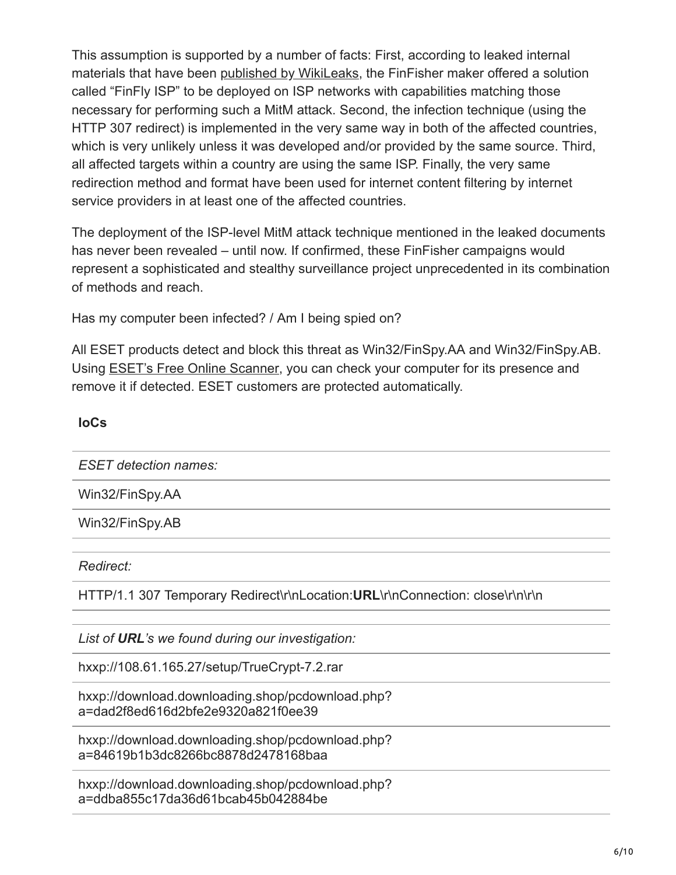This assumption is supported by a number of facts: First, according to leaked internal materials that have been [published by WikiLeaks,](https://wikileaks.org/spyfiles4/documents/FinFly-ISP-Catalog.pdf) the FinFisher maker offered a solution called "FinFly ISP" to be deployed on ISP networks with capabilities matching those necessary for performing such a MitM attack. Second, the infection technique (using the HTTP 307 redirect) is implemented in the very same way in both of the affected countries, which is very unlikely unless it was developed and/or provided by the same source. Third, all affected targets within a country are using the same ISP. Finally, the very same redirection method and format have been used for internet content filtering by internet service providers in at least one of the affected countries.

The deployment of the ISP-level MitM attack technique mentioned in the leaked documents has never been revealed – until now. If confirmed, these FinFisher campaigns would represent a sophisticated and stealthy surveillance project unprecedented in its combination of methods and reach.

Has my computer been infected? / Am I being spied on?

All ESET products detect and block this threat as Win32/FinSpy.AA and Win32/FinSpy.AB. Using [ESET's Free Online Scanner,](https://www.eset.com/int/home/online-scanner/) you can check your computer for its presence and remove it if detected. ESET customers are protected automatically.

#### **IoCs**

*ESET detection names:*

Win32/FinSpy.AA

Win32/FinSpy.AB

*Redirect:*

HTTP/1.1 307 Temporary Redirect\r\nLocation:**URL**\r\nConnection: close\r\n\r\n

*List of URL's we found during our investigation:*

hxxp://108.61.165.27/setup/TrueCrypt-7.2.rar

hxxp://download.downloading.shop/pcdownload.php? a=dad2f8ed616d2bfe2e9320a821f0ee39

hxxp://download.downloading.shop/pcdownload.php? a=84619b1b3dc8266bc8878d2478168baa

hxxp://download.downloading.shop/pcdownload.php? a=ddba855c17da36d61bcab45b042884be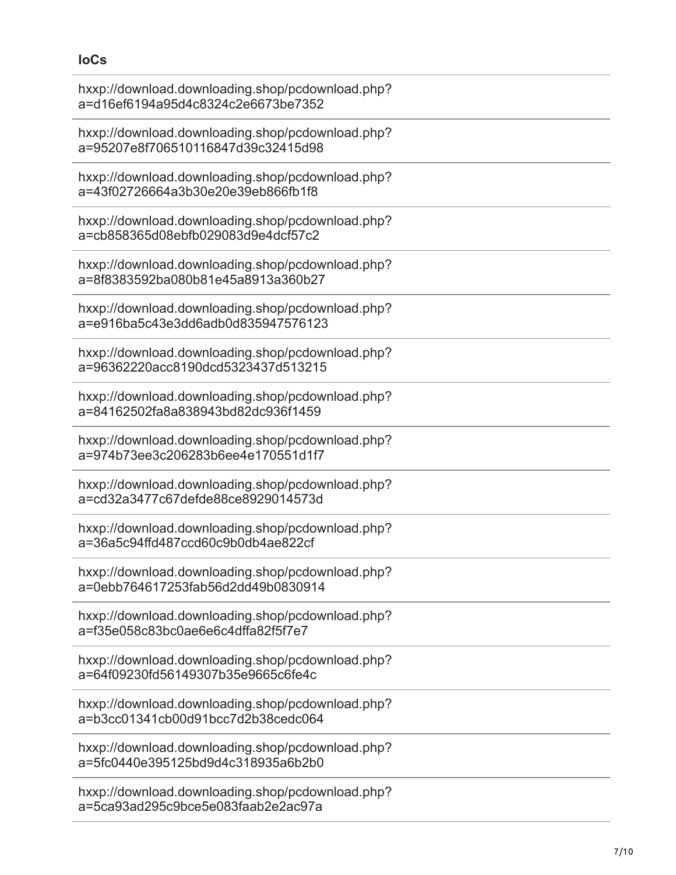### **IoCs**

| hxxp://download.downloading.shop/pcdownload.php?<br>a=d16ef6194a95d4c8324c2e6673be7352 |
|----------------------------------------------------------------------------------------|
| hxxp://download.downloading.shop/pcdownload.php?<br>a=95207e8f706510116847d39c32415d98 |
| hxxp://download.downloading.shop/pcdownload.php?<br>a=43f02726664a3b30e20e39eb866fb1f8 |
| hxxp://download.downloading.shop/pcdownload.php?<br>a=cb858365d08ebfb029083d9e4dcf57c2 |
| hxxp://download.downloading.shop/pcdownload.php?<br>a=8f8383592ba080b81e45a8913a360b27 |
| hxxp://download.downloading.shop/pcdownload.php?<br>a=e916ba5c43e3dd6adb0d835947576123 |
| hxxp://download.downloading.shop/pcdownload.php?<br>a=96362220acc8190dcd5323437d513215 |
| hxxp://download.downloading.shop/pcdownload.php?<br>a=84162502fa8a838943bd82dc936f1459 |
| hxxp://download.downloading.shop/pcdownload.php?<br>a=974b73ee3c206283b6ee4e170551d1f7 |
| hxxp://download.downloading.shop/pcdownload.php?<br>a=cd32a3477c67defde88ce8929014573d |
| hxxp://download.downloading.shop/pcdownload.php?<br>a=36a5c94ffd487ccd60c9b0db4ae822cf |
| hxxp://download.downloading.shop/pcdownload.php?<br>a=0ebb764617253fab56d2dd49b0830914 |
| hxxp://download.downloading.shop/pcdownload.php?<br>a=f35e058c83bc0ae6e6c4dffa82f5f7e7 |
| hxxp://download.downloading.shop/pcdownload.php?<br>a=64f09230fd56149307b35e9665c6fe4c |
| hxxp://download.downloading.shop/pcdownload.php?<br>a=b3cc01341cb00d91bcc7d2b38cedc064 |
| hxxp://download.downloading.shop/pcdownload.php?<br>a=5fc0440e395125bd9d4c318935a6b2b0 |
| hxxp://download.downloading.shop/pcdownload.php?<br>a=5ca93ad295c9bce5e083faab2e2ac97a |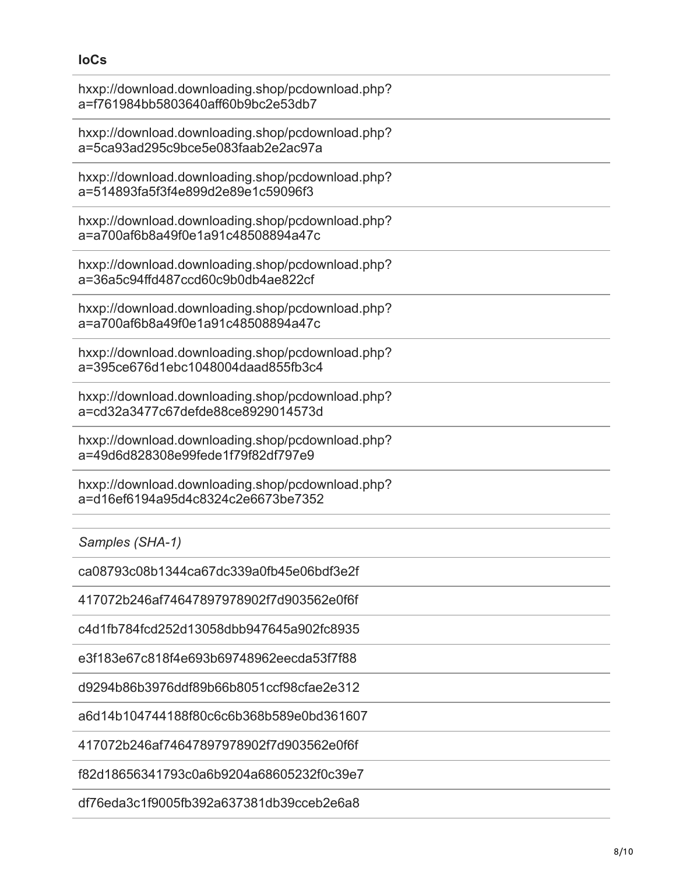#### **IoCs**

| hxxp://download.downloading.shop/pcdownload.php?<br>a=f761984bb5803640aff60b9bc2e53db7 |
|----------------------------------------------------------------------------------------|
| hxxp://download.downloading.shop/pcdownload.php?<br>a=5ca93ad295c9bce5e083faab2e2ac97a |
| hxxp://download.downloading.shop/pcdownload.php?<br>a=514893fa5f3f4e899d2e89e1c59096f3 |
| hxxp://download.downloading.shop/pcdownload.php?<br>a=a700af6b8a49f0e1a91c48508894a47c |
| hxxp://download.downloading.shop/pcdownload.php?<br>a=36a5c94ffd487ccd60c9b0db4ae822cf |
| hxxp://download.downloading.shop/pcdownload.php?<br>a=a700af6b8a49f0e1a91c48508894a47c |
| hxxp://download.downloading.shop/pcdownload.php?<br>a=395ce676d1ebc1048004daad855fb3c4 |
| hxxp://download.downloading.shop/pcdownload.php?<br>a=cd32a3477c67defde88ce8929014573d |
| hxxp://download.downloading.shop/pcdownload.php?<br>a=49d6d828308e99fede1f79f82df797e9 |
| hxxp://download.downloading.shop/pcdownload.php?<br>a=d16ef6194a95d4c8324c2e6673be7352 |
| Samples (SHA-1)                                                                        |
| ca08793c08b1344ca67dc339a0fb45e06bdf3e2f                                               |
| 417072b246af74647897978902f7d903562e0f6f                                               |
| c4d1fb784fcd252d13058dbb947645a902fc8935                                               |
| e3f183e67c818f4e693b69748962eecda53f7f88                                               |
| d9294b86b3976ddf89b66b8051ccf98cfae2e312                                               |
| a6d14b104744188f80c6c6b368b589e0bd361607                                               |
| 417072b246af74647897978902f7d903562e0f6f                                               |
| f82d18656341793c0a6b9204a68605232f0c39e7                                               |

df76eda3c1f9005fb392a637381db39cceb2e6a8